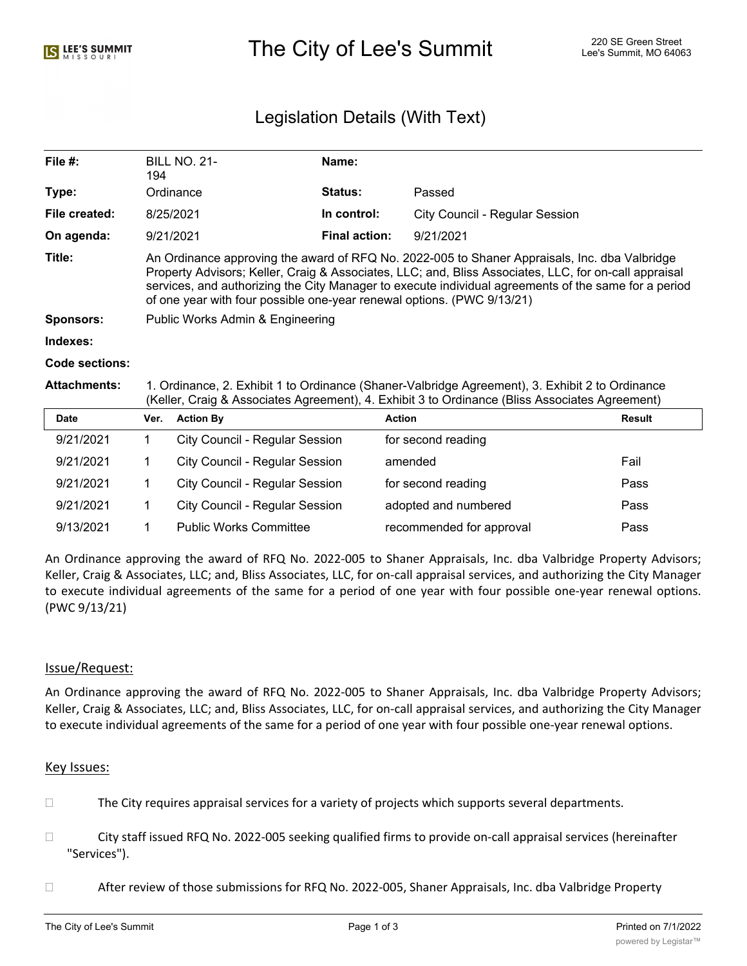# The City of Lee's Summit The City of Lee's Summit 220 SE Green Street

# Legislation Details (With Text)

| File $#$ :     | <b>BILL NO. 21-</b><br>194                                                                                                                                                                                                                                                                                                                                                               | Name:                |                                |  |  |
|----------------|------------------------------------------------------------------------------------------------------------------------------------------------------------------------------------------------------------------------------------------------------------------------------------------------------------------------------------------------------------------------------------------|----------------------|--------------------------------|--|--|
| Type:          | Ordinance                                                                                                                                                                                                                                                                                                                                                                                | <b>Status:</b>       | Passed                         |  |  |
| File created:  | 8/25/2021                                                                                                                                                                                                                                                                                                                                                                                | In control:          | City Council - Regular Session |  |  |
| On agenda:     | 9/21/2021                                                                                                                                                                                                                                                                                                                                                                                | <b>Final action:</b> | 9/21/2021                      |  |  |
| Title:         | An Ordinance approving the award of RFQ No. 2022-005 to Shaner Appraisals, Inc. dba Valbridge<br>Property Advisors; Keller, Craig & Associates, LLC; and, Bliss Associates, LLC, for on-call appraisal<br>services, and authorizing the City Manager to execute individual agreements of the same for a period<br>of one year with four possible one-year renewal options. (PWC 9/13/21) |                      |                                |  |  |
| Sponsors:      | Public Works Admin & Engineering                                                                                                                                                                                                                                                                                                                                                         |                      |                                |  |  |
| Indexes:       |                                                                                                                                                                                                                                                                                                                                                                                          |                      |                                |  |  |
| Code sections: |                                                                                                                                                                                                                                                                                                                                                                                          |                      |                                |  |  |

**Attachments:** 1. Ordinance, 2. Exhibit 1 to Ordinance (Shaner-Valbridge Agreement), 3. Exhibit 2 to Ordinance (Keller, Craig & Associates Agreement), 4. Exhibit 3 to Ordinance (Bliss Associates Agreement)

| <b>Date</b> | Ver. | <b>Action By</b>                      | <b>Action</b>            | Result |
|-------------|------|---------------------------------------|--------------------------|--------|
| 9/21/2021   |      | <b>City Council - Regular Session</b> | for second reading       |        |
| 9/21/2021   |      | <b>City Council - Regular Session</b> | amended                  | Fail   |
| 9/21/2021   |      | <b>City Council - Regular Session</b> | for second reading       | Pass   |
| 9/21/2021   |      | <b>City Council - Regular Session</b> | adopted and numbered     | Pass   |
| 9/13/2021   |      | <b>Public Works Committee</b>         | recommended for approval | Pass   |

An Ordinance approving the award of RFQ No. 2022-005 to Shaner Appraisals, Inc. dba Valbridge Property Advisors; Keller, Craig & Associates, LLC; and, Bliss Associates, LLC, for on-call appraisal services, and authorizing the City Manager to execute individual agreements of the same for a period of one year with four possible one-year renewal options. (PWC 9/13/21)

# Issue/Request:

An Ordinance approving the award of RFQ No. 2022-005 to Shaner Appraisals, Inc. dba Valbridge Property Advisors; Keller, Craig & Associates, LLC; and, Bliss Associates, LLC, for on-call appraisal services, and authorizing the City Manager to execute individual agreements of the same for a period of one year with four possible one-year renewal options.

# Key Issues:

- $\Box$  The City requires appraisal services for a variety of projects which supports several departments.
- □ City staff issued RFQ No. 2022-005 seeking qualified firms to provide on-call appraisal services (hereinafter "Services").
- After review of those submissions for RFQ No. 2022-005, Shaner Appraisals, Inc. dba Valbridge Property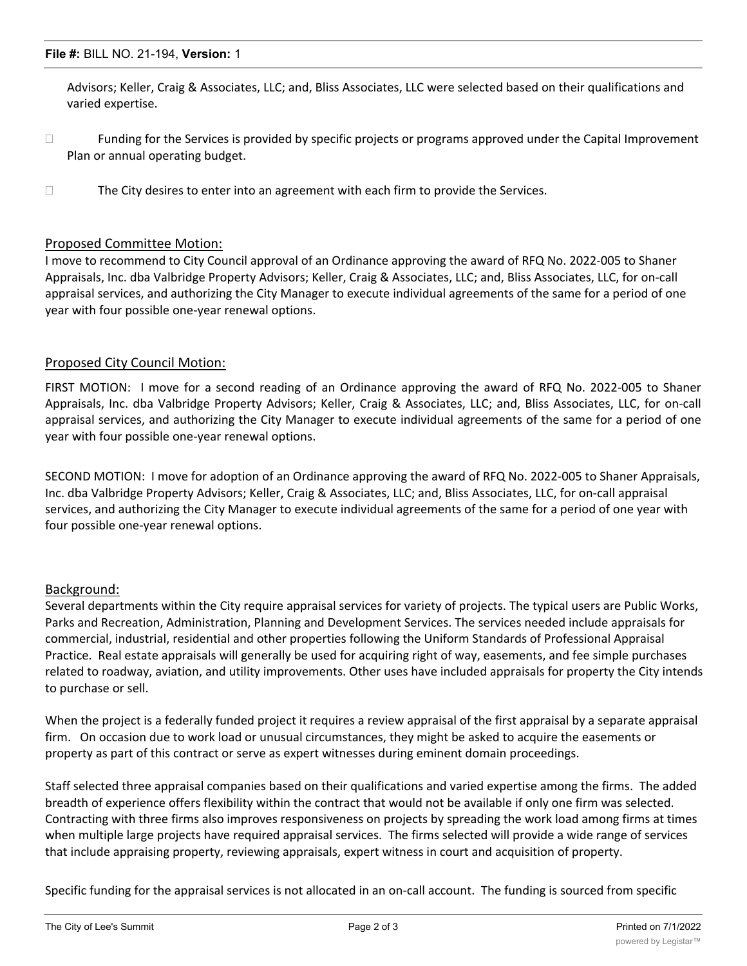#### **File #:** BILL NO. 21-194, **Version:** 1

Advisors; Keller, Craig & Associates, LLC; and, Bliss Associates, LLC were selected based on their qualifications and varied expertise.

- $\Box$  Funding for the Services is provided by specific projects or programs approved under the Capital Improvement Plan or annual operating budget.
- $\Box$  The City desires to enter into an agreement with each firm to provide the Services.

#### Proposed Committee Motion:

I move to recommend to City Council approval of an Ordinance approving the award of RFQ No. 2022-005 to Shaner Appraisals, Inc. dba Valbridge Property Advisors; Keller, Craig & Associates, LLC; and, Bliss Associates, LLC, for on-call appraisal services, and authorizing the City Manager to execute individual agreements of the same for a period of one year with four possible one-year renewal options.

#### Proposed City Council Motion:

FIRST MOTION: I move for a second reading of an Ordinance approving the award of RFQ No. 2022-005 to Shaner Appraisals, Inc. dba Valbridge Property Advisors; Keller, Craig & Associates, LLC; and, Bliss Associates, LLC, for on-call appraisal services, and authorizing the City Manager to execute individual agreements of the same for a period of one year with four possible one-year renewal options.

SECOND MOTION: I move for adoption of an Ordinance approving the award of RFQ No. 2022-005 to Shaner Appraisals, Inc. dba Valbridge Property Advisors; Keller, Craig & Associates, LLC; and, Bliss Associates, LLC, for on-call appraisal services, and authorizing the City Manager to execute individual agreements of the same for a period of one year with four possible one-year renewal options.

# Background:

Several departments within the City require appraisal services for variety of projects. The typical users are Public Works, Parks and Recreation, Administration, Planning and Development Services. The services needed include appraisals for commercial, industrial, residential and other properties following the Uniform Standards of Professional Appraisal Practice. Real estate appraisals will generally be used for acquiring right of way, easements, and fee simple purchases related to roadway, aviation, and utility improvements. Other uses have included appraisals for property the City intends to purchase or sell.

When the project is a federally funded project it requires a review appraisal of the first appraisal by a separate appraisal firm. On occasion due to work load or unusual circumstances, they might be asked to acquire the easements or property as part of this contract or serve as expert witnesses during eminent domain proceedings.

Staff selected three appraisal companies based on their qualifications and varied expertise among the firms. The added breadth of experience offers flexibility within the contract that would not be available if only one firm was selected. Contracting with three firms also improves responsiveness on projects by spreading the work load among firms at times when multiple large projects have required appraisal services. The firms selected will provide a wide range of services that include appraising property, reviewing appraisals, expert witness in court and acquisition of property.

Specific funding for the appraisal services is not allocated in an on-call account. The funding is sourced from specific